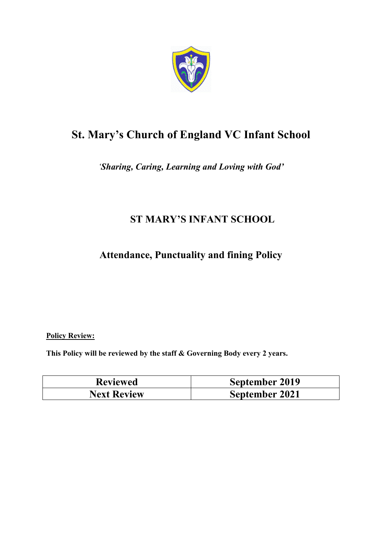

# **St. Mary's Church of England VC Infant School**

*'Sharing, Caring, Learning and Loving with God'* 

# **ST MARY'S INFANT SCHOOL**

**Attendance, Punctuality and fining Policy** 

**Policy Review:** 

**This Policy will be reviewed by the staff & Governing Body every 2 years.** 

| <b>Reviewed</b>    | September 2019 |
|--------------------|----------------|
| <b>Next Review</b> | September 2021 |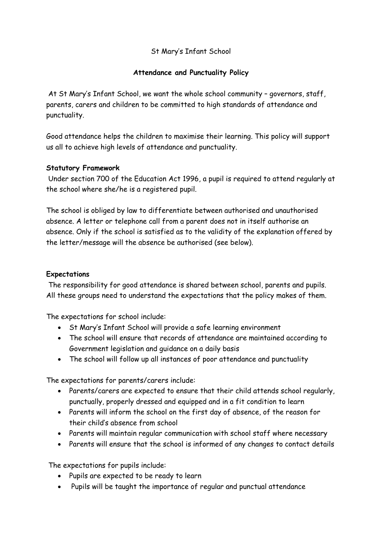#### St Mary's Infant School

#### **Attendance and Punctuality Policy**

 At St Mary's Infant School, we want the whole school community – governors, staff, parents, carers and children to be committed to high standards of attendance and punctuality.

Good attendance helps the children to maximise their learning. This policy will support us all to achieve high levels of attendance and punctuality.

#### **Statutory Framework**

 Under section 700 of the Education Act 1996, a pupil is required to attend regularly at the school where she/he is a registered pupil.

The school is obliged by law to differentiate between authorised and unauthorised absence. A letter or telephone call from a parent does not in itself authorise an absence. Only if the school is satisfied as to the validity of the explanation offered by the letter/message will the absence be authorised (see below).

#### **Expectations**

 The responsibility for good attendance is shared between school, parents and pupils. All these groups need to understand the expectations that the policy makes of them.

The expectations for school include:

- St Mary's Infant School will provide a safe learning environment
- The school will ensure that records of attendance are maintained according to Government legislation and guidance on a daily basis
- The school will follow up all instances of poor attendance and punctuality

The expectations for parents/carers include:

- Parents/carers are expected to ensure that their child attends school regularly, punctually, properly dressed and equipped and in a fit condition to learn
- Parents will inform the school on the first day of absence, of the reason for their child's absence from school
- Parents will maintain regular communication with school staff where necessary
- Parents will ensure that the school is informed of any changes to contact details

The expectations for pupils include:

- Pupils are expected to be ready to learn
- Pupils will be taught the importance of regular and punctual attendance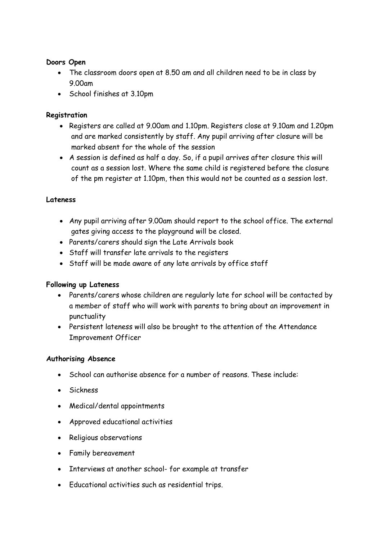#### **Doors Open**

- The classroom doors open at 8.50 am and all children need to be in class by 9.00am
- School finishes at 3.10pm

#### **Registration**

- Registers are called at 9.00am and 1.10pm. Registers close at 9.10am and 1.20pm and are marked consistently by staff. Any pupil arriving after closure will be marked absent for the whole of the session
- A session is defined as half a day. So, if a pupil arrives after closure this will count as a session lost. Where the same child is registered before the closure of the pm register at 1.10pm, then this would not be counted as a session lost.

#### **Lateness**

- Any pupil arriving after 9.00am should report to the school office. The external gates giving access to the playground will be closed.
- Parents/carers should sign the Late Arrivals book
- Staff will transfer late arrivals to the registers
- Staff will be made aware of any late arrivals by office staff

#### **Following up Lateness**

- Parents/carers whose children are regularly late for school will be contacted by a member of staff who will work with parents to bring about an improvement in punctuality
- Persistent lateness will also be brought to the attention of the Attendance Improvement Officer

#### **Authorising Absence**

- School can authorise absence for a number of reasons. These include:
- Sickness
- Medical/dental appointments
- Approved educational activities
- Religious observations
- Family bereavement
- Interviews at another school- for example at transfer
- Educational activities such as residential trips.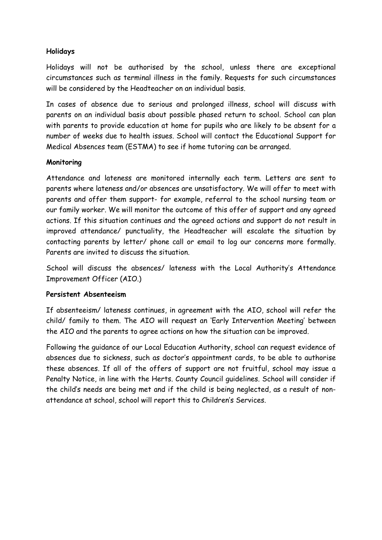#### **Holidays**

Holidays will not be authorised by the school, unless there are exceptional circumstances such as terminal illness in the family. Requests for such circumstances will be considered by the Headteacher on an individual basis.

In cases of absence due to serious and prolonged illness, school will discuss with parents on an individual basis about possible phased return to school. School can plan with parents to provide education at home for pupils who are likely to be absent for a number of weeks due to health issues. School will contact the Educational Support for Medical Absences team (ESTMA) to see if home tutoring can be arranged.

#### **Monitoring**

Attendance and lateness are monitored internally each term. Letters are sent to parents where lateness and/or absences are unsatisfactory. We will offer to meet with parents and offer them support- for example, referral to the school nursing team or our family worker. We will monitor the outcome of this offer of support and any agreed actions. If this situation continues and the agreed actions and support do not result in improved attendance/ punctuality, the Headteacher will escalate the situation by contacting parents by letter/ phone call or email to log our concerns more formally. Parents are invited to discuss the situation.

School will discuss the absences/ lateness with the Local Authority's Attendance Improvement Officer (AIO.)

#### **Persistent Absenteeism**

If absenteeism/ lateness continues, in agreement with the AIO, school will refer the child/ family to them. The AIO will request an 'Early Intervention Meeting' between the AIO and the parents to agree actions on how the situation can be improved.

Following the guidance of our Local Education Authority, school can request evidence of absences due to sickness, such as doctor's appointment cards, to be able to authorise these absences. If all of the offers of support are not fruitful, school may issue a Penalty Notice, in line with the Herts. County Council guidelines. School will consider if the child's needs are being met and if the child is being neglected, as a result of nonattendance at school, school will report this to Children's Services.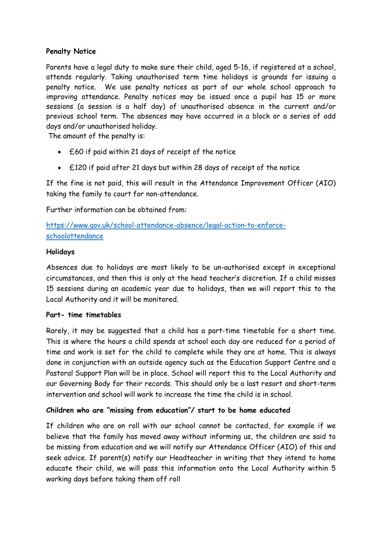#### **Penalty Notice**

Parents have a legal duty to make sure their child, aged 5-16, if registered at a school, attends regularly. Taking unauthorised term time holidays is grounds for issuing a penalty notice. We use penalty notices as part of our whole school approach to improving attendance. Penalty notices may be issued once a pupil has 15 or more sessions (a session is a half day) of unauthorised absence in the current and/or previous school term. The absences may have occurred in a block or a series of odd days and/or unauthorised holiday.

The amount of the penalty is:

- £60 if paid within 21 days of receipt of the notice
- £120 if paid after 21 days but within 28 days of receipt of the notice

If the fine is not paid, this will result in the Attendance Improvement Officer (AIO) taking the family to court for non-attendance.

Further information can be obtained from:

https://www.gov.uk/school-attendance-absence/legal-action-to-enforceschoolattendance

#### **Holidays**

Absences due to holidays are most likely to be un-authorised except in exceptional circumstances, and then this is only at the head teacher's discretion. If a child misses 15 sessions during an academic year due to holidays, then we will report this to the Local Authority and it will be monitored.

#### **Part- time timetables**

Rarely, it may be suggested that a child has a part-time timetable for a short time. This is where the hours a child spends at school each day are reduced for a period of time and work is set for the child to complete while they are at home. This is always done in conjunction with an outside agency such as the Education Support Centre and a Pastoral Support Plan will be in place. School will report this to the Local Authority and our Governing Body for their records. This should only be a last resort and short-term intervention and school will work to increase the time the child is in school.

#### **Children who are "missing from education"/ start to be home educated**

If children who are on roll with our school cannot be contacted, for example if we believe that the family has moved away without informing us, the children are said to be missing from education and we will notify our Attendance Officer (AIO) of this and seek advice. If parent(s) notify our Headteacher in writing that they intend to home educate their child, we will pass this information onto the Local Authority within 5 working days before taking them off roll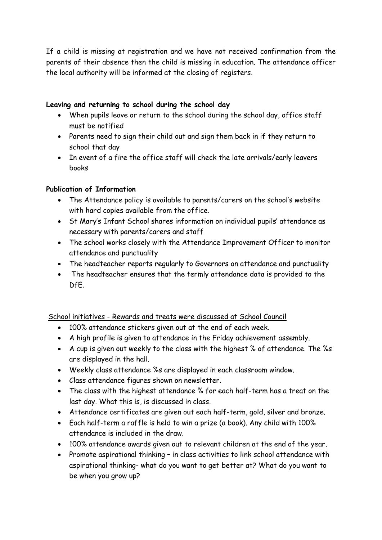If a child is missing at registration and we have not received confirmation from the parents of their absence then the child is missing in education. The attendance officer the local authority will be informed at the closing of registers.

#### **Leaving and returning to school during the school day**

- When pupils leave or return to the school during the school day, office staff must be notified
- Parents need to sign their child out and sign them back in if they return to school that day
- In event of a fire the office staff will check the late arrivals/early leavers books

#### **Publication of Information**

- The Attendance policy is available to parents/carers on the school's website with hard copies available from the office.
- St Mary's Infant School shares information on individual pupils' attendance as necessary with parents/carers and staff
- The school works closely with the Attendance Improvement Officer to monitor attendance and punctuality
- The headteacher reports regularly to Governors on attendance and punctuality
- The headteacher ensures that the termly attendance data is provided to the DfE.

School initiatives - Rewards and treats were discussed at School Council

- 100% attendance stickers given out at the end of each week.
- A high profile is given to attendance in the Friday achievement assembly.
- A cup is given out weekly to the class with the highest % of attendance. The %s are displayed in the hall.
- Weekly class attendance %s are displayed in each classroom window.
- Class attendance figures shown on newsletter.
- The class with the highest attendance % for each half-term has a treat on the last day. What this is, is discussed in class.
- Attendance certificates are given out each half-term, gold, silver and bronze.
- Each half-term a raffle is held to win a prize (a book). Any child with 100% attendance is included in the draw.
- 100% attendance awards given out to relevant children at the end of the year.
- Promote aspirational thinking in class activities to link school attendance with aspirational thinking- what do you want to get better at? What do you want to be when you grow up?